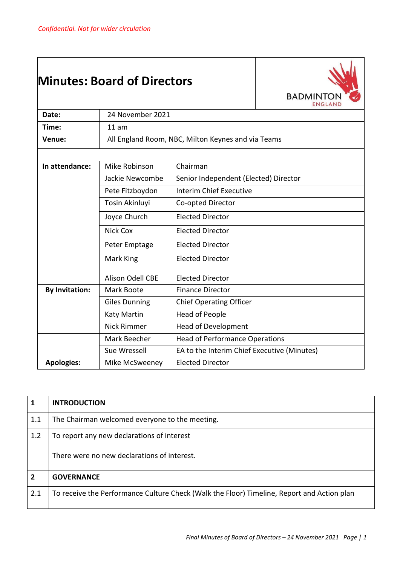## **Minutes: Board of Directors**



| Date:                                    | 24 November 2021                                   |                                             |  |
|------------------------------------------|----------------------------------------------------|---------------------------------------------|--|
| Time:                                    | 11 am                                              |                                             |  |
| Venue:                                   | All England Room, NBC, Milton Keynes and via Teams |                                             |  |
|                                          |                                                    |                                             |  |
| In attendance:                           | Chairman<br>Mike Robinson                          |                                             |  |
|                                          | Jackie Newcombe                                    | Senior Independent (Elected) Director       |  |
|                                          | Pete Fitzboydon                                    | <b>Interim Chief Executive</b>              |  |
|                                          | Tosin Akinluyi                                     | Co-opted Director                           |  |
|                                          | Joyce Church                                       | <b>Elected Director</b>                     |  |
|                                          | <b>Nick Cox</b>                                    | <b>Elected Director</b>                     |  |
| <b>Elected Director</b><br>Peter Emptage |                                                    |                                             |  |
|                                          | Mark King                                          | <b>Elected Director</b>                     |  |
|                                          | Alison Odell CBE                                   | <b>Elected Director</b>                     |  |
| <b>By Invitation:</b>                    | Mark Boote<br><b>Finance Director</b>              |                                             |  |
|                                          | <b>Giles Dunning</b>                               | <b>Chief Operating Officer</b>              |  |
|                                          | Katy Martin                                        | <b>Head of People</b>                       |  |
|                                          | <b>Nick Rimmer</b>                                 | <b>Head of Development</b>                  |  |
|                                          | Mark Beecher                                       | <b>Head of Performance Operations</b>       |  |
|                                          | Sue Wressell                                       | EA to the Interim Chief Executive (Minutes) |  |
| <b>Apologies:</b>                        | Mike McSweeney                                     | <b>Elected Director</b>                     |  |

| 1              | <b>INTRODUCTION</b>                                                                        |
|----------------|--------------------------------------------------------------------------------------------|
| 1.1            | The Chairman welcomed everyone to the meeting.                                             |
| 1.2            | To report any new declarations of interest                                                 |
|                | There were no new declarations of interest.                                                |
| $\overline{2}$ | <b>GOVERNANCE</b>                                                                          |
| 2.1            | To receive the Performance Culture Check (Walk the Floor) Timeline, Report and Action plan |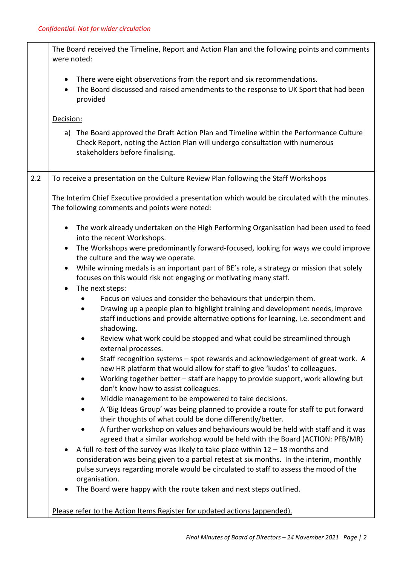|     | The Board received the Timeline, Report and Action Plan and the following points and comments<br>were noted:                                                                                                                                                                          |  |  |
|-----|---------------------------------------------------------------------------------------------------------------------------------------------------------------------------------------------------------------------------------------------------------------------------------------|--|--|
|     | There were eight observations from the report and six recommendations.<br>$\bullet$<br>The Board discussed and raised amendments to the response to UK Sport that had been<br>$\bullet$<br>provided                                                                                   |  |  |
|     | Decision:                                                                                                                                                                                                                                                                             |  |  |
|     | a) The Board approved the Draft Action Plan and Timeline within the Performance Culture<br>Check Report, noting the Action Plan will undergo consultation with numerous<br>stakeholders before finalising.                                                                            |  |  |
| 2.2 | To receive a presentation on the Culture Review Plan following the Staff Workshops                                                                                                                                                                                                    |  |  |
|     | The Interim Chief Executive provided a presentation which would be circulated with the minutes.<br>The following comments and points were noted:                                                                                                                                      |  |  |
|     | The work already undertaken on the High Performing Organisation had been used to feed<br>$\bullet$<br>into the recent Workshops.                                                                                                                                                      |  |  |
|     | The Workshops were predominantly forward-focused, looking for ways we could improve<br>$\bullet$                                                                                                                                                                                      |  |  |
|     | the culture and the way we operate.<br>While winning medals is an important part of BE's role, a strategy or mission that solely<br>$\bullet$                                                                                                                                         |  |  |
|     | focuses on this would risk not engaging or motivating many staff.                                                                                                                                                                                                                     |  |  |
|     | The next steps:<br>$\bullet$<br>Focus on values and consider the behaviours that underpin them.                                                                                                                                                                                       |  |  |
|     | Drawing up a people plan to highlight training and development needs, improve<br>$\bullet$<br>staff inductions and provide alternative options for learning, i.e. secondment and<br>shadowing.                                                                                        |  |  |
|     | Review what work could be stopped and what could be streamlined through<br>external processes.                                                                                                                                                                                        |  |  |
|     | Staff recognition systems – spot rewards and acknowledgement of great work. A<br>new HR platform that would allow for staff to give 'kudos' to colleagues.<br>Working together better - staff are happy to provide support, work allowing but<br>don't know how to assist colleagues. |  |  |
|     | Middle management to be empowered to take decisions.                                                                                                                                                                                                                                  |  |  |
|     | A 'Big Ideas Group' was being planned to provide a route for staff to put forward<br>their thoughts of what could be done differently/better.                                                                                                                                         |  |  |
|     | A further workshop on values and behaviours would be held with staff and it was                                                                                                                                                                                                       |  |  |
|     | agreed that a similar workshop would be held with the Board (ACTION: PFB/MR)<br>A full re-test of the survey was likely to take place within $12 - 18$ months and                                                                                                                     |  |  |
|     | consideration was being given to a partial retest at six months. In the interim, monthly                                                                                                                                                                                              |  |  |
|     | pulse surveys regarding morale would be circulated to staff to assess the mood of the                                                                                                                                                                                                 |  |  |
|     | organisation.<br>The Board were happy with the route taken and next steps outlined.<br>$\bullet$                                                                                                                                                                                      |  |  |
|     | Please refer to the Action Items Register for updated actions (appended).                                                                                                                                                                                                             |  |  |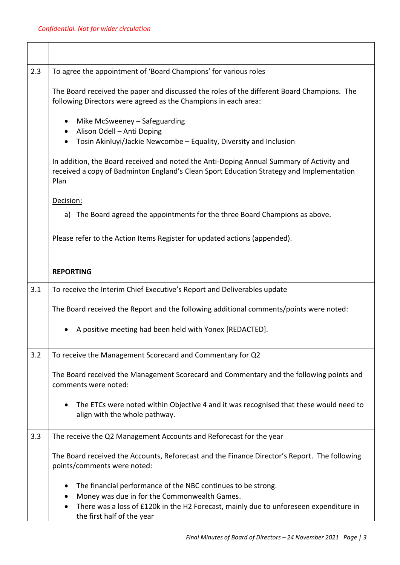| 2.3 | To agree the appointment of 'Board Champions' for various roles                                                                                                                                                                     |
|-----|-------------------------------------------------------------------------------------------------------------------------------------------------------------------------------------------------------------------------------------|
|     | The Board received the paper and discussed the roles of the different Board Champions. The<br>following Directors were agreed as the Champions in each area:                                                                        |
|     | Mike McSweeney - Safeguarding<br>Alison Odell - Anti Doping<br>Tosin Akinluyi/Jackie Newcombe - Equality, Diversity and Inclusion                                                                                                   |
|     | In addition, the Board received and noted the Anti-Doping Annual Summary of Activity and<br>received a copy of Badminton England's Clean Sport Education Strategy and Implementation<br>Plan                                        |
|     | Decision:                                                                                                                                                                                                                           |
|     | a) The Board agreed the appointments for the three Board Champions as above.                                                                                                                                                        |
|     | Please refer to the Action Items Register for updated actions (appended).                                                                                                                                                           |
|     | <b>REPORTING</b>                                                                                                                                                                                                                    |
| 3.1 | To receive the Interim Chief Executive's Report and Deliverables update                                                                                                                                                             |
|     | The Board received the Report and the following additional comments/points were noted:                                                                                                                                              |
|     | A positive meeting had been held with Yonex [REDACTED].                                                                                                                                                                             |
| 3.2 | To receive the Management Scorecard and Commentary for Q2                                                                                                                                                                           |
|     | The Board received the Management Scorecard and Commentary and the following points and<br>comments were noted:                                                                                                                     |
|     | The ETCs were noted within Objective 4 and it was recognised that these would need to<br>align with the whole pathway.                                                                                                              |
| 3.3 | The receive the Q2 Management Accounts and Reforecast for the year                                                                                                                                                                  |
|     | The Board received the Accounts, Reforecast and the Finance Director's Report. The following<br>points/comments were noted:                                                                                                         |
|     | The financial performance of the NBC continues to be strong.<br>Money was due in for the Commonwealth Games.<br>There was a loss of £120k in the H2 Forecast, mainly due to unforeseen expenditure in<br>the first half of the year |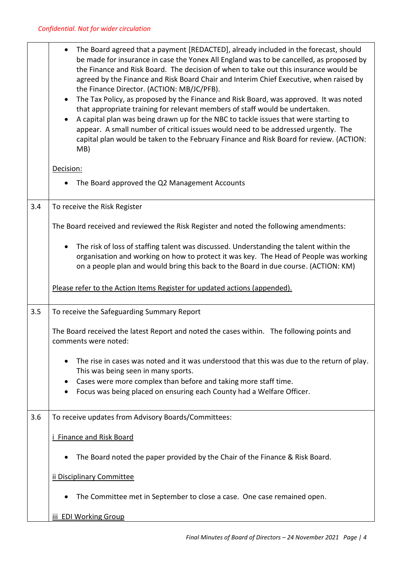|     | The Board agreed that a payment [REDACTED], already included in the forecast, should<br>$\bullet$<br>be made for insurance in case the Yonex All England was to be cancelled, as proposed by<br>the Finance and Risk Board. The decision of when to take out this insurance would be<br>agreed by the Finance and Risk Board Chair and Interim Chief Executive, when raised by<br>the Finance Director. (ACTION: MB/JC/PFB).<br>The Tax Policy, as proposed by the Finance and Risk Board, was approved. It was noted<br>$\bullet$<br>that appropriate training for relevant members of staff would be undertaken.<br>A capital plan was being drawn up for the NBC to tackle issues that were starting to<br>appear. A small number of critical issues would need to be addressed urgently. The<br>capital plan would be taken to the February Finance and Risk Board for review. (ACTION:<br>MB) |  |  |
|-----|----------------------------------------------------------------------------------------------------------------------------------------------------------------------------------------------------------------------------------------------------------------------------------------------------------------------------------------------------------------------------------------------------------------------------------------------------------------------------------------------------------------------------------------------------------------------------------------------------------------------------------------------------------------------------------------------------------------------------------------------------------------------------------------------------------------------------------------------------------------------------------------------------|--|--|
|     | Decision:                                                                                                                                                                                                                                                                                                                                                                                                                                                                                                                                                                                                                                                                                                                                                                                                                                                                                          |  |  |
|     | The Board approved the Q2 Management Accounts                                                                                                                                                                                                                                                                                                                                                                                                                                                                                                                                                                                                                                                                                                                                                                                                                                                      |  |  |
| 3.4 | To receive the Risk Register                                                                                                                                                                                                                                                                                                                                                                                                                                                                                                                                                                                                                                                                                                                                                                                                                                                                       |  |  |
|     | The Board received and reviewed the Risk Register and noted the following amendments:                                                                                                                                                                                                                                                                                                                                                                                                                                                                                                                                                                                                                                                                                                                                                                                                              |  |  |
|     | The risk of loss of staffing talent was discussed. Understanding the talent within the<br>$\bullet$<br>organisation and working on how to protect it was key. The Head of People was working<br>on a people plan and would bring this back to the Board in due course. (ACTION: KM)                                                                                                                                                                                                                                                                                                                                                                                                                                                                                                                                                                                                                |  |  |
|     | Please refer to the Action Items Register for updated actions (appended).                                                                                                                                                                                                                                                                                                                                                                                                                                                                                                                                                                                                                                                                                                                                                                                                                          |  |  |
| 3.5 | To receive the Safeguarding Summary Report                                                                                                                                                                                                                                                                                                                                                                                                                                                                                                                                                                                                                                                                                                                                                                                                                                                         |  |  |
|     | The Board received the latest Report and noted the cases within. The following points and<br>comments were noted:                                                                                                                                                                                                                                                                                                                                                                                                                                                                                                                                                                                                                                                                                                                                                                                  |  |  |
|     | The rise in cases was noted and it was understood that this was due to the return of play.<br>This was being seen in many sports.                                                                                                                                                                                                                                                                                                                                                                                                                                                                                                                                                                                                                                                                                                                                                                  |  |  |
|     | Cases were more complex than before and taking more staff time.<br>$\bullet$<br>Focus was being placed on ensuring each County had a Welfare Officer.                                                                                                                                                                                                                                                                                                                                                                                                                                                                                                                                                                                                                                                                                                                                              |  |  |
| 3.6 | To receive updates from Advisory Boards/Committees:                                                                                                                                                                                                                                                                                                                                                                                                                                                                                                                                                                                                                                                                                                                                                                                                                                                |  |  |
|     | <b>Finance and Risk Board</b>                                                                                                                                                                                                                                                                                                                                                                                                                                                                                                                                                                                                                                                                                                                                                                                                                                                                      |  |  |
|     | The Board noted the paper provided by the Chair of the Finance & Risk Board.                                                                                                                                                                                                                                                                                                                                                                                                                                                                                                                                                                                                                                                                                                                                                                                                                       |  |  |
|     | ii Disciplinary Committee                                                                                                                                                                                                                                                                                                                                                                                                                                                                                                                                                                                                                                                                                                                                                                                                                                                                          |  |  |
|     | The Committee met in September to close a case. One case remained open.                                                                                                                                                                                                                                                                                                                                                                                                                                                                                                                                                                                                                                                                                                                                                                                                                            |  |  |
|     | iii EDI Working Group                                                                                                                                                                                                                                                                                                                                                                                                                                                                                                                                                                                                                                                                                                                                                                                                                                                                              |  |  |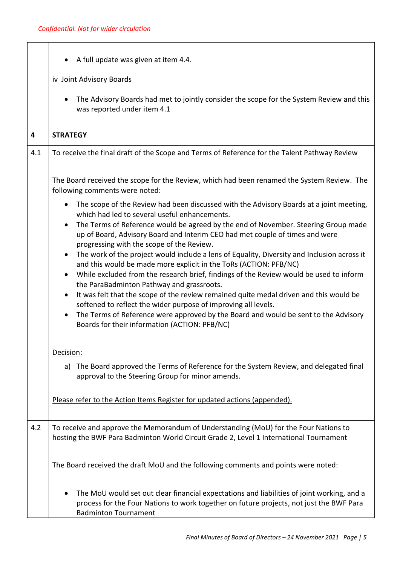|     | A full update was given at item 4.4.                                                                                                                                                                                                                                                                                                                                                                                                                                                                                                                                                                                                                                                                                                                                                                                                                                                                                                                                                                                                                     |  |  |
|-----|----------------------------------------------------------------------------------------------------------------------------------------------------------------------------------------------------------------------------------------------------------------------------------------------------------------------------------------------------------------------------------------------------------------------------------------------------------------------------------------------------------------------------------------------------------------------------------------------------------------------------------------------------------------------------------------------------------------------------------------------------------------------------------------------------------------------------------------------------------------------------------------------------------------------------------------------------------------------------------------------------------------------------------------------------------|--|--|
|     | iv Joint Advisory Boards                                                                                                                                                                                                                                                                                                                                                                                                                                                                                                                                                                                                                                                                                                                                                                                                                                                                                                                                                                                                                                 |  |  |
|     | The Advisory Boards had met to jointly consider the scope for the System Review and this<br>$\bullet$<br>was reported under item 4.1                                                                                                                                                                                                                                                                                                                                                                                                                                                                                                                                                                                                                                                                                                                                                                                                                                                                                                                     |  |  |
| 4   | <b>STRATEGY</b>                                                                                                                                                                                                                                                                                                                                                                                                                                                                                                                                                                                                                                                                                                                                                                                                                                                                                                                                                                                                                                          |  |  |
| 4.1 | To receive the final draft of the Scope and Terms of Reference for the Talent Pathway Review                                                                                                                                                                                                                                                                                                                                                                                                                                                                                                                                                                                                                                                                                                                                                                                                                                                                                                                                                             |  |  |
|     | The Board received the scope for the Review, which had been renamed the System Review. The<br>following comments were noted:                                                                                                                                                                                                                                                                                                                                                                                                                                                                                                                                                                                                                                                                                                                                                                                                                                                                                                                             |  |  |
|     | The scope of the Review had been discussed with the Advisory Boards at a joint meeting,<br>$\bullet$<br>which had led to several useful enhancements.<br>The Terms of Reference would be agreed by the end of November. Steering Group made<br>$\bullet$<br>up of Board, Advisory Board and Interim CEO had met couple of times and were<br>progressing with the scope of the Review.<br>The work of the project would include a lens of Equality, Diversity and Inclusion across it<br>$\bullet$<br>and this would be made more explicit in the ToRs (ACTION: PFB/NC)<br>While excluded from the research brief, findings of the Review would be used to inform<br>$\bullet$<br>the ParaBadminton Pathway and grassroots.<br>It was felt that the scope of the review remained quite medal driven and this would be<br>$\bullet$<br>softened to reflect the wider purpose of improving all levels.<br>The Terms of Reference were approved by the Board and would be sent to the Advisory<br>$\bullet$<br>Boards for their information (ACTION: PFB/NC) |  |  |
|     | Decision:<br>The Board approved the Terms of Reference for the System Review, and delegated final<br>a)<br>approval to the Steering Group for minor amends.                                                                                                                                                                                                                                                                                                                                                                                                                                                                                                                                                                                                                                                                                                                                                                                                                                                                                              |  |  |
|     | Please refer to the Action Items Register for updated actions (appended).                                                                                                                                                                                                                                                                                                                                                                                                                                                                                                                                                                                                                                                                                                                                                                                                                                                                                                                                                                                |  |  |
| 4.2 | To receive and approve the Memorandum of Understanding (MoU) for the Four Nations to<br>hosting the BWF Para Badminton World Circuit Grade 2, Level 1 International Tournament                                                                                                                                                                                                                                                                                                                                                                                                                                                                                                                                                                                                                                                                                                                                                                                                                                                                           |  |  |
|     | The Board received the draft MoU and the following comments and points were noted:                                                                                                                                                                                                                                                                                                                                                                                                                                                                                                                                                                                                                                                                                                                                                                                                                                                                                                                                                                       |  |  |
|     | The MoU would set out clear financial expectations and liabilities of joint working, and a<br>٠<br>process for the Four Nations to work together on future projects, not just the BWF Para<br><b>Badminton Tournament</b>                                                                                                                                                                                                                                                                                                                                                                                                                                                                                                                                                                                                                                                                                                                                                                                                                                |  |  |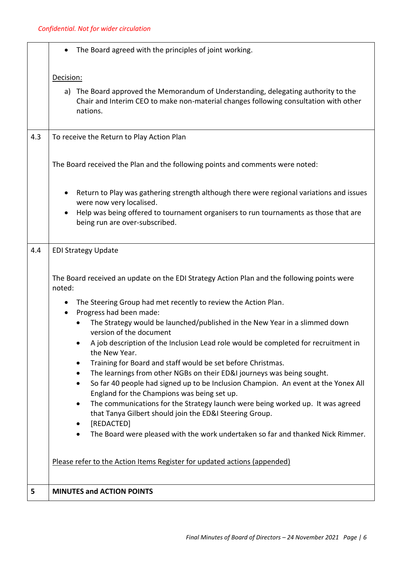|     | The Board agreed with the principles of joint working.<br>$\bullet$                                                                                                                    |  |  |
|-----|----------------------------------------------------------------------------------------------------------------------------------------------------------------------------------------|--|--|
|     | Decision:                                                                                                                                                                              |  |  |
|     | a) The Board approved the Memorandum of Understanding, delegating authority to the<br>Chair and Interim CEO to make non-material changes following consultation with other<br>nations. |  |  |
| 4.3 | To receive the Return to Play Action Plan                                                                                                                                              |  |  |
|     | The Board received the Plan and the following points and comments were noted:                                                                                                          |  |  |
|     | Return to Play was gathering strength although there were regional variations and issues<br>٠<br>were now very localised.                                                              |  |  |
|     | Help was being offered to tournament organisers to run tournaments as those that are<br>٠<br>being run are over-subscribed.                                                            |  |  |
| 4.4 | <b>EDI Strategy Update</b>                                                                                                                                                             |  |  |
|     | The Board received an update on the EDI Strategy Action Plan and the following points were<br>noted:                                                                                   |  |  |
|     | The Steering Group had met recently to review the Action Plan.<br>$\bullet$<br>Progress had been made:<br>$\bullet$                                                                    |  |  |
|     | The Strategy would be launched/published in the New Year in a slimmed down<br>version of the document                                                                                  |  |  |
|     | A job description of the Inclusion Lead role would be completed for recruitment in<br>the New Year.                                                                                    |  |  |
|     | Training for Board and staff would be set before Christmas.<br>٠                                                                                                                       |  |  |
|     | The learnings from other NGBs on their ED&I journeys was being sought.                                                                                                                 |  |  |
|     | So far 40 people had signed up to be Inclusion Champion. An event at the Yonex All<br>$\bullet$                                                                                        |  |  |
|     | England for the Champions was being set up.<br>The communications for the Strategy launch were being worked up. It was agreed<br>$\bullet$                                             |  |  |
|     | that Tanya Gilbert should join the ED&I Steering Group.                                                                                                                                |  |  |
|     | [REDACTED]<br>٠                                                                                                                                                                        |  |  |
|     | The Board were pleased with the work undertaken so far and thanked Nick Rimmer.<br>$\bullet$                                                                                           |  |  |
|     | Please refer to the Action Items Register for updated actions (appended)                                                                                                               |  |  |
| 5   | <b>MINUTES and ACTION POINTS</b>                                                                                                                                                       |  |  |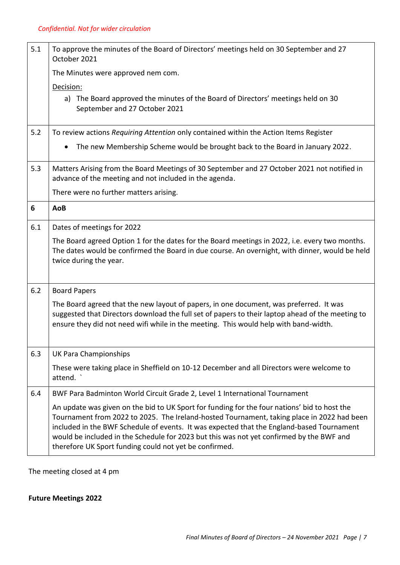| 5.1 | To approve the minutes of the Board of Directors' meetings held on 30 September and 27<br>October 2021                                                                                                                                                                                                                                                                                                                                        |  |  |
|-----|-----------------------------------------------------------------------------------------------------------------------------------------------------------------------------------------------------------------------------------------------------------------------------------------------------------------------------------------------------------------------------------------------------------------------------------------------|--|--|
|     | The Minutes were approved nem com.                                                                                                                                                                                                                                                                                                                                                                                                            |  |  |
|     | Decision:                                                                                                                                                                                                                                                                                                                                                                                                                                     |  |  |
|     | a) The Board approved the minutes of the Board of Directors' meetings held on 30<br>September and 27 October 2021                                                                                                                                                                                                                                                                                                                             |  |  |
| 5.2 | To review actions Requiring Attention only contained within the Action Items Register                                                                                                                                                                                                                                                                                                                                                         |  |  |
|     | The new Membership Scheme would be brought back to the Board in January 2022.<br>$\bullet$                                                                                                                                                                                                                                                                                                                                                    |  |  |
| 5.3 | Matters Arising from the Board Meetings of 30 September and 27 October 2021 not notified in<br>advance of the meeting and not included in the agenda.                                                                                                                                                                                                                                                                                         |  |  |
|     | There were no further matters arising.                                                                                                                                                                                                                                                                                                                                                                                                        |  |  |
| 6   | AoB                                                                                                                                                                                                                                                                                                                                                                                                                                           |  |  |
| 6.1 | Dates of meetings for 2022                                                                                                                                                                                                                                                                                                                                                                                                                    |  |  |
|     | The Board agreed Option 1 for the dates for the Board meetings in 2022, i.e. every two months.<br>The dates would be confirmed the Board in due course. An overnight, with dinner, would be held<br>twice during the year.                                                                                                                                                                                                                    |  |  |
| 6.2 | <b>Board Papers</b>                                                                                                                                                                                                                                                                                                                                                                                                                           |  |  |
|     | The Board agreed that the new layout of papers, in one document, was preferred. It was<br>suggested that Directors download the full set of papers to their laptop ahead of the meeting to<br>ensure they did not need wifi while in the meeting. This would help with band-width.                                                                                                                                                            |  |  |
| 6.3 | <b>UK Para Championships</b>                                                                                                                                                                                                                                                                                                                                                                                                                  |  |  |
|     | These were taking place in Sheffield on 10-12 December and all Directors were welcome to<br>attend.                                                                                                                                                                                                                                                                                                                                           |  |  |
| 6.4 | BWF Para Badminton World Circuit Grade 2, Level 1 International Tournament                                                                                                                                                                                                                                                                                                                                                                    |  |  |
|     | An update was given on the bid to UK Sport for funding for the four nations' bid to host the<br>Tournament from 2022 to 2025. The Ireland-hosted Tournament, taking place in 2022 had been<br>included in the BWF Schedule of events. It was expected that the England-based Tournament<br>would be included in the Schedule for 2023 but this was not yet confirmed by the BWF and<br>therefore UK Sport funding could not yet be confirmed. |  |  |

The meeting closed at 4 pm

## **Future Meetings 2022**